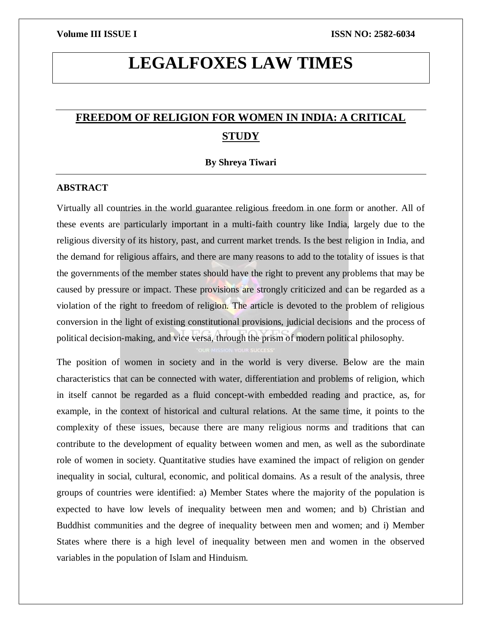# **LEGALFOXES LAW TIMES**

# **FREEDOM OF RELIGION FOR WOMEN IN INDIA: A CRITICAL STUDY**

### **By Shreya Tiwari**

## **ABSTRACT**

Virtually all countries in the world guarantee religious freedom in one form or another. All of these events are particularly important in a multi-faith country like India, largely due to the religious diversity of its history, past, and current market trends. Is the best religion in India, and the demand for religious affairs, and there are many reasons to add to the totality of issues is that the governments of the member states should have the right to prevent any problems that may be caused by pressure or impact. These provisions are strongly criticized and can be regarded as a violation of the right to freedom of religion. The article is devoted to the problem of religious conversion in the light of existing constitutional provisions, judicial decisions and the process of political decision-making, and vice versa, through the prism of modern political philosophy.

The position of women in society and in the world is very diverse. Below are the main characteristics that can be connected with water, differentiation and problems of religion, which in itself cannot be regarded as a fluid concept-with embedded reading and practice, as, for example, in the context of historical and cultural relations. At the same time, it points to the complexity of these issues, because there are many religious norms and traditions that can contribute to the development of equality between women and men, as well as the subordinate role of women in society. Quantitative studies have examined the impact of religion on gender inequality in social, cultural, economic, and political domains. As a result of the analysis, three groups of countries were identified: a) Member States where the majority of the population is expected to have low levels of inequality between men and women; and b) Christian and Buddhist communities and the degree of inequality between men and women; and i) Member States where there is a high level of inequality between men and women in the observed variables in the population of Islam and Hinduism.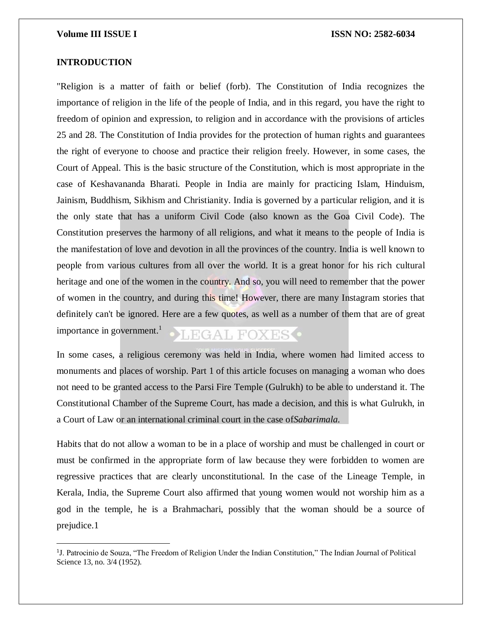### **INTRODUCTION**

 $\overline{\phantom{a}}$ 

"Religion is a matter of faith or belief (forb). The Constitution of India recognizes the importance of religion in the life of the people of India, and in this regard, you have the right to freedom of opinion and expression, to religion and in accordance with the provisions of articles 25 and 28. The Constitution of India provides for the protection of human rights and guarantees the right of everyone to choose and practice their religion freely. However, in some cases, the Court of Appeal. This is the basic structure of the Constitution, which is most appropriate in the case of Keshavananda Bharati. People in India are mainly for practicing Islam, Hinduism, Jainism, Buddhism, Sikhism and Christianity. India is governed by a particular religion, and it is the only state that has a uniform Civil Code (also known as the Goa Civil Code). The Constitution preserves the harmony of all religions, and what it means to the people of India is the manifestation of love and devotion in all the provinces of the country. India is well known to people from various cultures from all over the world. It is a great honor for his rich cultural heritage and one of the women in the country. And so, you will need to remember that the power of women in the country, and during this time! However, there are many Instagram stories that definitely can't be ignored. Here are a few quotes, as well as a number of them that are of great importance in government.<sup>1</sup> LEGAL FOXES<sup>O</sup>

In some cases, a religious ceremony was held in India, where women had limited access to monuments and places of worship. Part 1 of this article focuses on managing a woman who does not need to be granted access to the Parsi Fire Temple (Gulrukh) to be able to understand it. The Constitutional Chamber of the Supreme Court, has made a decision, and this is what Gulrukh, in a Court of Law or an international criminal court in the case of*Sabarimala.*

Habits that do not allow a woman to be in a place of worship and must be challenged in court or must be confirmed in the appropriate form of law because they were forbidden to women are regressive practices that are clearly unconstitutional. In the case of the Lineage Temple, in Kerala, India, the Supreme Court also affirmed that young women would not worship him as a god in the temple, he is a Brahmachari, possibly that the woman should be a source of prejudice.1

<sup>&</sup>lt;sup>1</sup>J. Patrocinio de Souza, "The Freedom of Religion Under the Indian Constitution," The Indian Journal of Political Science 13, no. 3/4 (1952).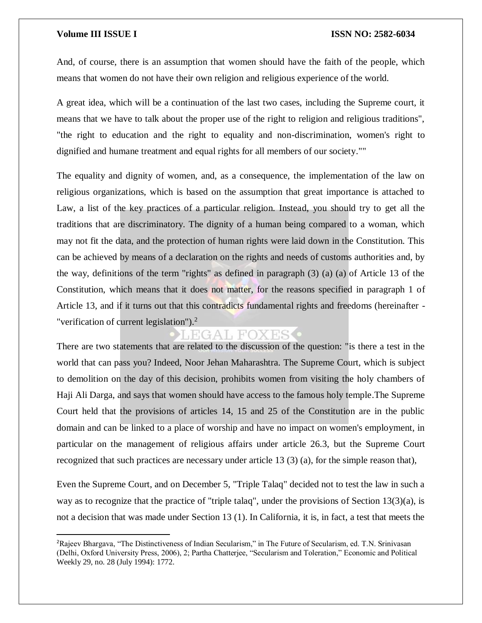### **Volume III ISSUE I ISSN NO: 2582-6034**

And, of course, there is an assumption that women should have the faith of the people, which means that women do not have their own religion and religious experience of the world.

A great idea, which will be a continuation of the last two cases, including the Supreme court, it means that we have to talk about the proper use of the right to religion and religious traditions", "the right to education and the right to equality and non-discrimination, women's right to dignified and humane treatment and equal rights for all members of our society.""

The equality and dignity of women, and, as a consequence, the implementation of the law on religious organizations, which is based on the assumption that great importance is attached to Law, a list of the key practices of a particular religion. Instead, you should try to get all the traditions that are discriminatory. The dignity of a human being compared to a woman, which may not fit the data, and the protection of human rights were laid down in the Constitution. This can be achieved by means of a declaration on the rights and needs of customs authorities and, by the way, definitions of the term "rights" as defined in paragraph (3) (a) (a) of Article 13 of the Constitution, which means that it does not matter, for the reasons specified in paragraph 1 of Article 13, and if it turns out that this contradicts fundamental rights and freedoms (hereinafter - "verification of current legislation"). $<sup>2</sup>$ </sup>

# LEGAL FOXES

There are two statements that are related to the discussion of the question: "is there a test in the world that can pass you? Indeed, Noor Jehan Maharashtra. The Supreme Court, which is subject to demolition on the day of this decision, prohibits women from visiting the holy chambers of Haji Ali Darga, and says that women should have access to the famous holy temple.The Supreme Court held that the provisions of articles 14, 15 and 25 of the Constitution are in the public domain and can be linked to a place of worship and have no impact on women's employment, in particular on the management of religious affairs under article 26.3, but the Supreme Court recognized that such practices are necessary under article 13 (3) (a), for the simple reason that),

Even the Supreme Court, and on December 5, "Triple Talaq" decided not to test the law in such a way as to recognize that the practice of "triple talaq", under the provisions of Section 13(3)(a), is not a decision that was made under Section 13 (1). In California, it is, in fact, a test that meets the

<sup>2</sup>Rajeev Bhargava, "The Distinctiveness of Indian Secularism," in The Future of Secularism, ed. T.N. Srinivasan (Delhi, Oxford University Press, 2006), 2; Partha Chatterjee, "Secularism and Toleration," Economic and Political Weekly 29, no. 28 (July 1994): 1772.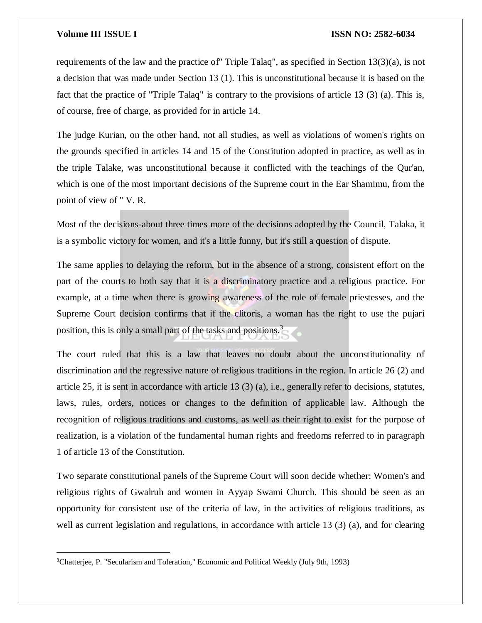# **Volume III ISSUE I ISSN NO: 2582-6034**

requirements of the law and the practice of" Triple Talaq", as specified in Section 13(3)(a), is not a decision that was made under Section 13 (1). This is unconstitutional because it is based on the fact that the practice of "Triple Talaq" is contrary to the provisions of article 13 (3) (a). This is, of course, free of charge, as provided for in article 14.

The judge Kurian, on the other hand, not all studies, as well as violations of women's rights on the grounds specified in articles 14 and 15 of the Constitution adopted in practice, as well as in the triple Talake, was unconstitutional because it conflicted with the teachings of the Qur'an, which is one of the most important decisions of the Supreme court in the Ear Shamimu, from the point of view of " V. R.

Most of the decisions-about three times more of the decisions adopted by the Council, Talaka, it is a symbolic victory for women, and it's a little funny, but it's still a question of dispute.

The same applies to delaying the reform, but in the absence of a strong, consistent effort on the part of the courts to both say that it is a discriminatory practice and a religious practice. For example, at a time when there is growing awareness of the role of female priestesses, and the Supreme Court decision confirms that if the clitoris, a woman has the right to use the pujari position, this is only a small part of the tasks and positions.<sup>3</sup>

The court ruled that this is a law that leaves no doubt about the unconstitutionality of discrimination and the regressive nature of religious traditions in the region. In article 26 (2) and article 25, it is sent in accordance with article 13 (3) (a), i.e., generally refer to decisions, statutes, laws, rules, orders, notices or changes to the definition of applicable law. Although the recognition of religious traditions and customs, as well as their right to exist for the purpose of realization, is a violation of the fundamental human rights and freedoms referred to in paragraph 1 of article 13 of the Constitution.

Two separate constitutional panels of the Supreme Court will soon decide whether: Women's and religious rights of Gwalruh and women in Ayyap Swami Church. This should be seen as an opportunity for consistent use of the criteria of law, in the activities of religious traditions, as well as current legislation and regulations, in accordance with article 13 (3) (a), and for clearing

<sup>3</sup>Chatterjee, P. "Secularism and Toleration," Economic and Political Weekly (July 9th, 1993)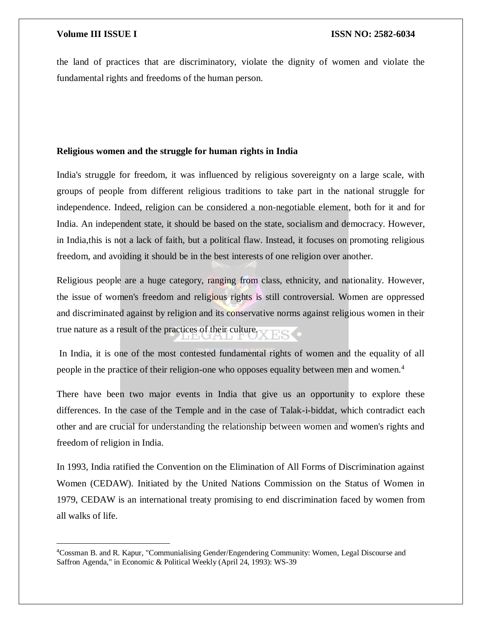$\overline{\phantom{a}}$ 

the land of practices that are discriminatory, violate the dignity of women and violate the fundamental rights and freedoms of the human person.

## **Religious women and the struggle for human rights in India**

India's struggle for freedom, it was influenced by religious sovereignty on a large scale, with groups of people from different religious traditions to take part in the national struggle for independence. Indeed, religion can be considered a non-negotiable element, both for it and for India. An independent state, it should be based on the state, socialism and democracy. However, in India,this is not a lack of faith, but a political flaw. Instead, it focuses on promoting religious freedom, and avoiding it should be in the best interests of one religion over another.

Religious people are a huge category, ranging from class, ethnicity, and nationality. However, the issue of women's freedom and religious rights is still controversial. Women are oppressed and discriminated against by religion and its conservative norms against religious women in their true nature as a result of the practices of their culture.

In India, it is one of the most contested fundamental rights of women and the equality of all people in the practice of their religion-one who opposes equality between men and women.<sup>4</sup>

There have been two major events in India that give us an opportunity to explore these differences. In the case of the Temple and in the case of Talak-i-biddat, which contradict each other and are crucial for understanding the relationship between women and women's rights and freedom of religion in India.

In 1993, India ratified the Convention on the Elimination of All Forms of Discrimination against Women (CEDAW). Initiated by the United Nations Commission on the Status of Women in 1979, CEDAW is an international treaty promising to end discrimination faced by women from all walks of life.

<sup>4</sup>Cossman B. and R. Kapur, "Communialising Gender/Engendering Community: Women, Legal Discourse and Saffron Agenda," in Economic & Political Weekly (April 24, 1993): WS-39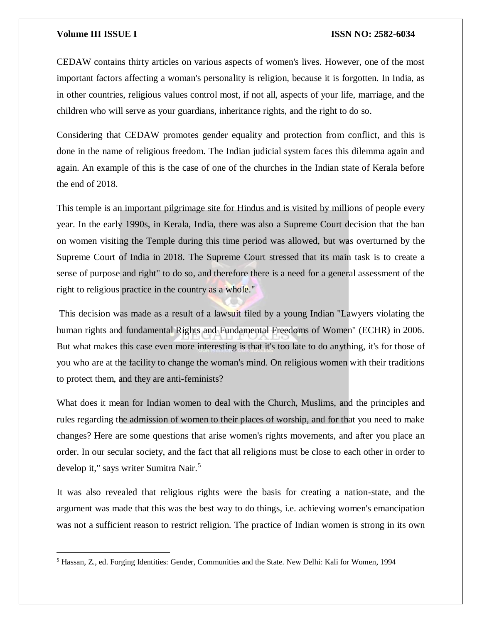### **Volume III ISSUE I ISSN NO: 2582-6034**

CEDAW contains thirty articles on various aspects of women's lives. However, one of the most important factors affecting a woman's personality is religion, because it is forgotten. In India, as in other countries, religious values control most, if not all, aspects of your life, marriage, and the children who will serve as your guardians, inheritance rights, and the right to do so.

Considering that CEDAW promotes gender equality and protection from conflict, and this is done in the name of religious freedom. The Indian judicial system faces this dilemma again and again. An example of this is the case of one of the churches in the Indian state of Kerala before the end of 2018.

This temple is an important pilgrimage site for Hindus and is visited by millions of people every year. In the early 1990s, in Kerala, India, there was also a Supreme Court decision that the ban on women visiting the Temple during this time period was allowed, but was overturned by the Supreme Court of India in 2018. The Supreme Court stressed that its main task is to create a sense of purpose and right" to do so, and therefore there is a need for a general assessment of the right to religious practice in the country as a whole."

This decision was made as a result of a lawsuit filed by a young Indian "Lawyers violating the human rights and fundamental Rights and Fundamental Freedoms of Women" (ECHR) in 2006. But what makes this case even more interesting is that it's too late to do anything, it's for those of you who are at the facility to change the woman's mind. On religious women with their traditions to protect them, and they are anti-feminists?

What does it mean for Indian women to deal with the Church, Muslims, and the principles and rules regarding the admission of women to their places of worship, and for that you need to make changes? Here are some questions that arise women's rights movements, and after you place an order. In our secular society, and the fact that all religions must be close to each other in order to develop it," says writer Sumitra Nair.<sup>5</sup>

It was also revealed that religious rights were the basis for creating a nation-state, and the argument was made that this was the best way to do things, i.e. achieving women's emancipation was not a sufficient reason to restrict religion. The practice of Indian women is strong in its own

<sup>5</sup> Hassan, Z., ed. Forging Identities: Gender, Communities and the State. New Delhi: Kali for Women, 1994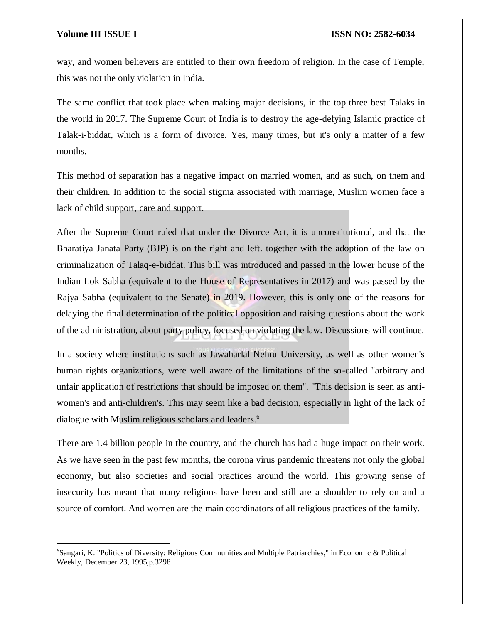$\overline{\phantom{a}}$ 

way, and women believers are entitled to their own freedom of religion. In the case of Temple, this was not the only violation in India.

The same conflict that took place when making major decisions, in the top three best Talaks in the world in 2017. The Supreme Court of India is to destroy the age-defying Islamic practice of Talak-i-biddat, which is a form of divorce. Yes, many times, but it's only a matter of a few months.

This method of separation has a negative impact on married women, and as such, on them and their children. In addition to the social stigma associated with marriage, Muslim women face a lack of child support, care and support.

After the Supreme Court ruled that under the Divorce Act, it is unconstitutional, and that the Bharatiya Janata Party (BJP) is on the right and left. together with the adoption of the law on criminalization of Talaq-e-biddat. This bill was introduced and passed in the lower house of the Indian Lok Sabha (equivalent to the House of Representatives in 2017) and was passed by the Rajya Sabha (equivalent to the Senate) in 2019. However, this is only one of the reasons for delaying the final determination of the political opposition and raising questions about the work of the administration, about party policy, focused on violating the law. Discussions will continue.

In a society where institutions such as Jawaharlal Nehru University, as well as other women's human rights organizations, were well aware of the limitations of the so-called "arbitrary and unfair application of restrictions that should be imposed on them". "This decision is seen as antiwomen's and anti-children's. This may seem like a bad decision, especially in light of the lack of dialogue with Muslim religious scholars and leaders.<sup>6</sup>

There are 1.4 billion people in the country, and the church has had a huge impact on their work. As we have seen in the past few months, the corona virus pandemic threatens not only the global economy, but also societies and social practices around the world. This growing sense of insecurity has meant that many religions have been and still are a shoulder to rely on and a source of comfort. And women are the main coordinators of all religious practices of the family.

<sup>6</sup>Sangari, K. "Politics of Diversity: Religious Communities and Multiple Patriarchies," in Economic & Political Weekly, December 23, 1995,p.3298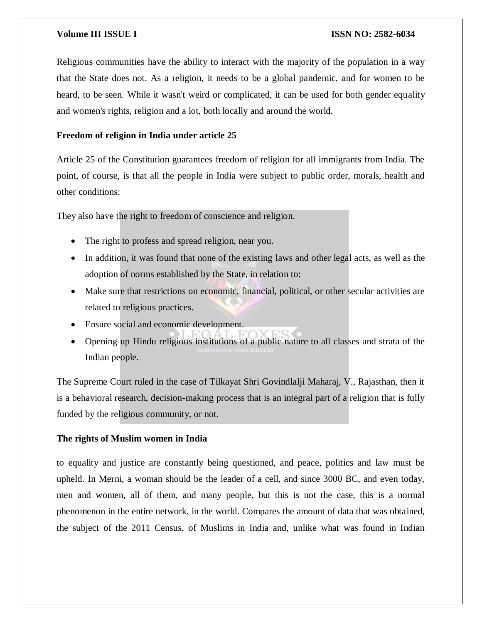Religious communities have the ability to interact with the majority of the population in a way that the State does not. As a religion, it needs to be a global pandemic, and for women to be heard, to be seen. While it wasn't weird or complicated, it can be used for both gender equality and women's rights, religion and a lot, both locally and around the world.

# **Freedom of religion in India under article 25**

Article 25 of the Constitution guarantees freedom of religion for all immigrants from India. The point, of course, is that all the people in India were subject to public order, morals, health and other conditions:

They also have the right to freedom of conscience and religion.

- The right to profess and spread religion, near you.
- In addition, it was found that none of the existing laws and other legal acts, as well as the adoption of norms established by the State, in relation to:
- Make sure that restrictions on economic, financial, political, or other secular activities are related to religious practices.
- Ensure social and economic development.
- Opening up Hindu religious institutions of a public nature to all classes and strata of the Indian people.

The Supreme Court ruled in the case of Tilkayat Shri Govindlalji Maharaj, V., Rajasthan, then it is a behavioral research, decision-making process that is an integral part of a religion that is fully funded by the religious community, or not.

## **The rights of Muslim women in India**

to equality and justice are constantly being questioned, and peace, politics and law must be upheld. In Merni, a woman should be the leader of a cell, and since 3000 BC, and even today, men and women, all of them, and many people, but this is not the case, this is a normal phenomenon in the entire network, in the world. Compares the amount of data that was obtained, the subject of the 2011 Census, of Muslims in India and, unlike what was found in Indian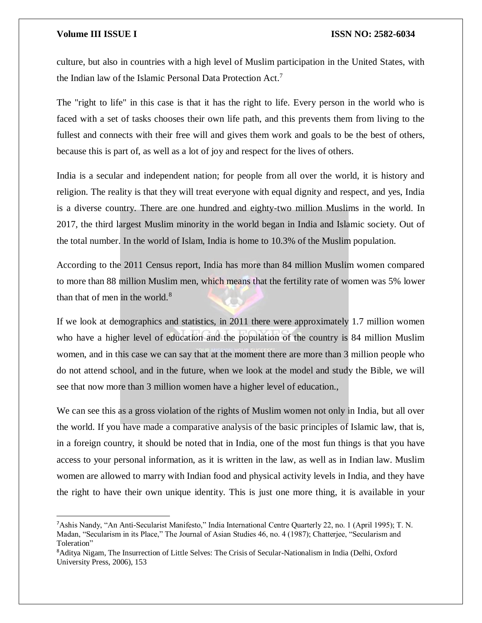# **Volume III ISSUE I ISSN NO: 2582-6034**

culture, but also in countries with a high level of Muslim participation in the United States, with the Indian law of the Islamic Personal Data Protection Act.<sup>7</sup>

The "right to life" in this case is that it has the right to life. Every person in the world who is faced with a set of tasks chooses their own life path, and this prevents them from living to the fullest and connects with their free will and gives them work and goals to be the best of others, because this is part of, as well as a lot of joy and respect for the lives of others.

India is a secular and independent nation; for people from all over the world, it is history and religion. The reality is that they will treat everyone with equal dignity and respect, and yes, India is a diverse country. There are one hundred and eighty-two million Muslims in the world. In 2017, the third largest Muslim minority in the world began in India and Islamic society. Out of the total number. In the world of Islam, India is home to 10.3% of the Muslim population.

According to the 2011 Census report, India has more than 84 million Muslim women compared to more than 88 million Muslim men, which means that the fertility rate of women was 5% lower than that of men in the world. $8$ 

If we look at demographics and statistics, in 2011 there were approximately 1.7 million women who have a higher level of education and the population of the country is 84 million Muslim women, and in this case we can say that at the moment there are more than 3 million people who do not attend school, and in the future, when we look at the model and study the Bible, we will see that now more than 3 million women have a higher level of education.,

We can see this as a gross violation of the rights of Muslim women not only in India, but all over the world. If you have made a comparative analysis of the basic principles of Islamic law, that is, in a foreign country, it should be noted that in India, one of the most fun things is that you have access to your personal information, as it is written in the law, as well as in Indian law. Muslim women are allowed to marry with Indian food and physical activity levels in India, and they have the right to have their own unique identity. This is just one more thing, it is available in your

<sup>7</sup>Ashis Nandy, "An Anti-Secularist Manifesto," India International Centre Quarterly 22, no. 1 (April 1995); T. N. Madan, "Secularism in its Place," The Journal of Asian Studies 46, no. 4 (1987); Chatterjee, "Secularism and Toleration"

<sup>8</sup>Aditya Nigam, The Insurrection of Little Selves: The Crisis of Secular-Nationalism in India (Delhi, Oxford University Press, 2006), 153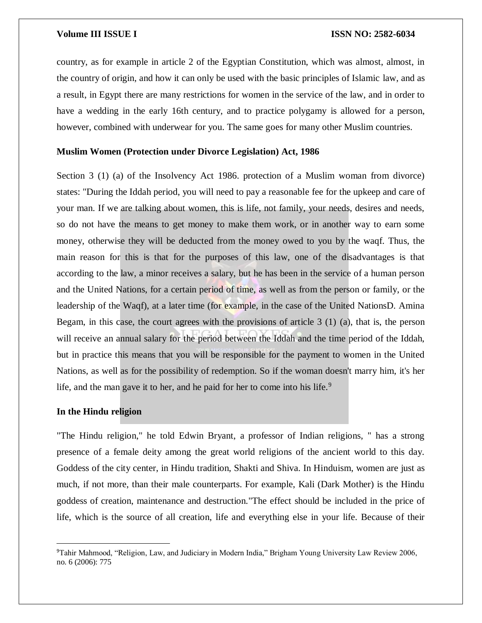country, as for example in article 2 of the Egyptian Constitution, which was almost, almost, in the country of origin, and how it can only be used with the basic principles of Islamic law, and as a result, in Egypt there are many restrictions for women in the service of the law, and in order to have a wedding in the early 16th century, and to practice polygamy is allowed for a person, however, combined with underwear for you. The same goes for many other Muslim countries.

### **Muslim Women (Protection under Divorce Legislation) Act, 1986**

Section 3 (1) (a) of the Insolvency Act 1986. protection of a Muslim woman from divorce) states: "During the Iddah period, you will need to pay a reasonable fee for the upkeep and care of your man. If we are talking about women, this is life, not family, your needs, desires and needs, so do not have the means to get money to make them work, or in another way to earn some money, otherwise they will be deducted from the money owed to you by the waqf. Thus, the main reason for this is that for the purposes of this law, one of the disadvantages is that according to the law, a minor receives a salary, but he has been in the service of a human person and the United Nations, for a certain period of time, as well as from the person or family, or the leadership of the Waqf), at a later time (for example, in the case of the United NationsD. Amina Begam, in this case, the court agrees with the provisions of article 3 (1) (a), that is, the person will receive an annual salary for the period between the Iddah and the time period of the Iddah, but in practice this means that you will be responsible for the payment to women in the United Nations, as well as for the possibility of redemption. So if the woman doesn't marry him, it's her life, and the man gave it to her, and he paid for her to come into his life.<sup>9</sup>

# **In the Hindu religion**

 $\overline{\phantom{a}}$ 

"The Hindu religion," he told Edwin Bryant, a professor of Indian religions, " has a strong presence of a female deity among the great world religions of the ancient world to this day. Goddess of the city center, in Hindu tradition, Shakti and Shiva. In Hinduism, women are just as much, if not more, than their male counterparts. For example, Kali (Dark Mother) is the Hindu goddess of creation, maintenance and destruction."The effect should be included in the price of life, which is the source of all creation, life and everything else in your life. Because of their

<sup>9</sup>Tahir Mahmood, "Religion, Law, and Judiciary in Modern India," Brigham Young University Law Review 2006, no. 6 (2006): 775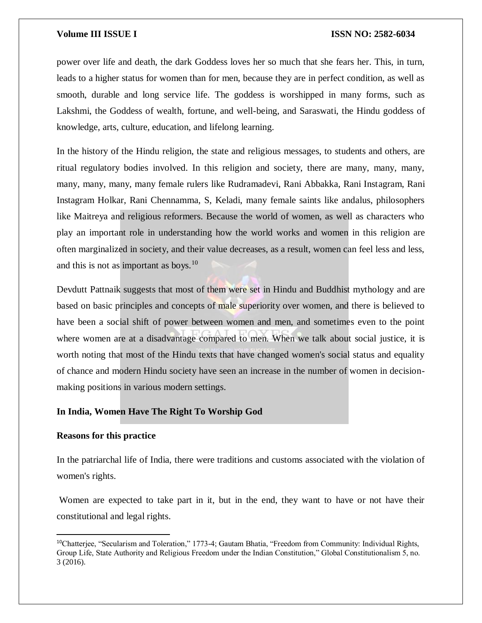power over life and death, the dark Goddess loves her so much that she fears her. This, in turn, leads to a higher status for women than for men, because they are in perfect condition, as well as smooth, durable and long service life. The goddess is worshipped in many forms, such as Lakshmi, the Goddess of wealth, fortune, and well-being, and Saraswati, the Hindu goddess of knowledge, arts, culture, education, and lifelong learning.

In the history of the Hindu religion, the state and religious messages, to students and others, are ritual regulatory bodies involved. In this religion and society, there are many, many, many, many, many, many, many female rulers like Rudramadevi, Rani Abbakka, Rani Instagram, Rani Instagram Holkar, Rani Chennamma, S, Keladi, many female saints like andalus, philosophers like Maitreya and religious reformers. Because the world of women, as well as characters who play an important role in understanding how the world works and women in this religion are often marginalized in society, and their value decreases, as a result, women can feel less and less, and this is not as important as boys.<sup>10</sup>

Devdutt Pattnaik suggests that most of them were set in Hindu and Buddhist mythology and are based on basic principles and concepts of male superiority over women, and there is believed to have been a social shift of power between women and men, and sometimes even to the point where women are at a disadvantage compared to men. When we talk about social justice, it is worth noting that most of the Hindu texts that have changed women's social status and equality of chance and modern Hindu society have seen an increase in the number of women in decisionmaking positions in various modern settings.

### **In India, Women Have The Right To Worship God**

### **Reasons for this practice**

 $\overline{a}$ 

In the patriarchal life of India, there were traditions and customs associated with the violation of women's rights.

Women are expected to take part in it, but in the end, they want to have or not have their constitutional and legal rights.

<sup>10</sup>Chatterjee, "Secularism and Toleration," 1773-4; Gautam Bhatia, "Freedom from Community: Individual Rights, Group Life, State Authority and Religious Freedom under the Indian Constitution," Global Constitutionalism 5, no. 3 (2016).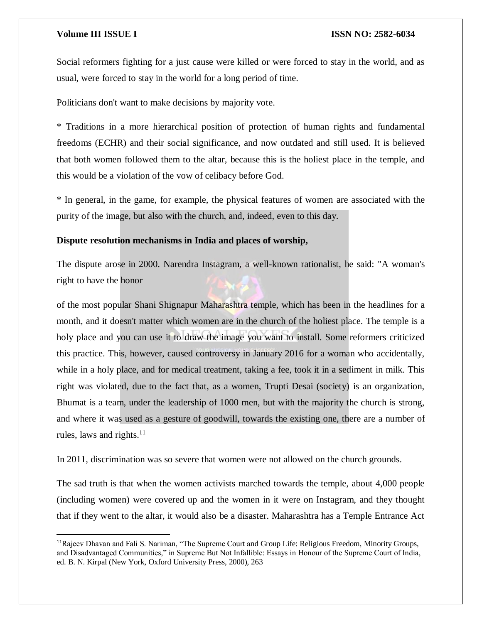### **Volume III ISSUE I ISSN NO: 2582-6034**

Social reformers fighting for a just cause were killed or were forced to stay in the world, and as usual, were forced to stay in the world for a long period of time.

Politicians don't want to make decisions by majority vote.

\* Traditions in a more hierarchical position of protection of human rights and fundamental freedoms (ECHR) and their social significance, and now outdated and still used. It is believed that both women followed them to the altar, because this is the holiest place in the temple, and this would be a violation of the vow of celibacy before God.

\* In general, in the game, for example, the physical features of women are associated with the purity of the image, but also with the church, and, indeed, even to this day.

## **Dispute resolution mechanisms in India and places of worship,**

The dispute arose in 2000. Narendra Instagram, a well-known rationalist, he said: "A woman's right to have the honor

of the most popular Shani Shignapur Maharashtra temple, which has been in the headlines for a month, and it doesn't matter which women are in the church of the holiest place. The temple is a holy place and you can use it to draw the image you want to install. Some reformers criticized this practice. This, however, caused controversy in January 2016 for a woman who accidentally, while in a holy place, and for medical treatment, taking a fee, took it in a sediment in milk. This right was violated, due to the fact that, as a women, Trupti Desai (society) is an organization, Bhumat is a team, under the leadership of 1000 men, but with the majority the church is strong, and where it was used as a gesture of goodwill, towards the existing one, there are a number of rules, laws and rights. $11$ 

In 2011, discrimination was so severe that women were not allowed on the church grounds.

The sad truth is that when the women activists marched towards the temple, about 4,000 people (including women) were covered up and the women in it were on Instagram, and they thought that if they went to the altar, it would also be a disaster. Maharashtra has a Temple Entrance Act

<sup>11</sup>Rajeev Dhavan and Fali S. Nariman, "The Supreme Court and Group Life: Religious Freedom, Minority Groups, and Disadvantaged Communities," in Supreme But Not Infallible: Essays in Honour of the Supreme Court of India, ed. B. N. Kirpal (New York, Oxford University Press, 2000), 263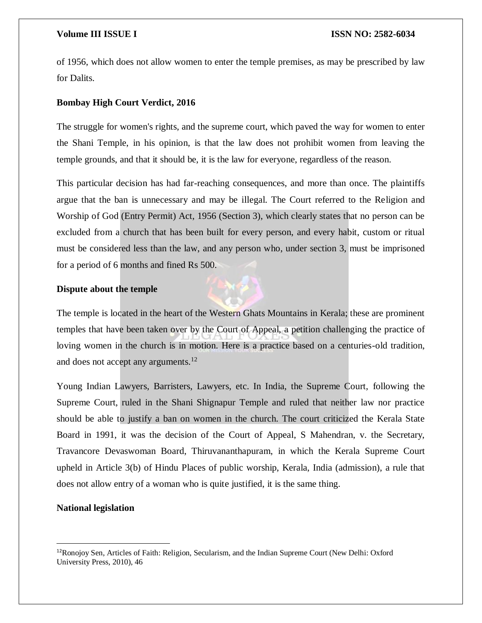of 1956, which does not allow women to enter the temple premises, as may be prescribed by law for Dalits.

### **Bombay High Court Verdict, 2016**

The struggle for women's rights, and the supreme court, which paved the way for women to enter the Shani Temple, in his opinion, is that the law does not prohibit women from leaving the temple grounds, and that it should be, it is the law for everyone, regardless of the reason.

This particular decision has had far-reaching consequences, and more than once. The plaintiffs argue that the ban is unnecessary and may be illegal. The Court referred to the Religion and Worship of God (Entry Permit) Act, 1956 (Section 3), which clearly states that no person can be excluded from a church that has been built for every person, and every habit, custom or ritual must be considered less than the law, and any person who, under section 3, must be imprisoned for a period of 6 months and fined Rs 500.

### **Dispute about the temple**

The temple is located in the heart of the Western Ghats Mountains in Kerala; these are prominent temples that have been taken over by the Court of Appeal, a petition challenging the practice of loving women in the church is in motion. Here is a practice based on a centuries-old tradition, and does not accept any arguments. $12$ 

Young Indian Lawyers, Barristers, Lawyers, etc. In India, the Supreme Court, following the Supreme Court, ruled in the Shani Shignapur Temple and ruled that neither law nor practice should be able to justify a ban on women in the church. The court criticized the Kerala State Board in 1991, it was the decision of the Court of Appeal, S Mahendran, v. the Secretary, Travancore Devaswoman Board, Thiruvananthapuram, in which the Kerala Supreme Court upheld in Article 3(b) of Hindu Places of public worship, Kerala, India (admission), a rule that does not allow entry of a woman who is quite justified, it is the same thing.

### **National legislation**

 $\overline{\phantom{a}}$ 

<sup>12</sup>Ronojoy Sen, Articles of Faith: Religion, Secularism, and the Indian Supreme Court (New Delhi: Oxford University Press, 2010), 46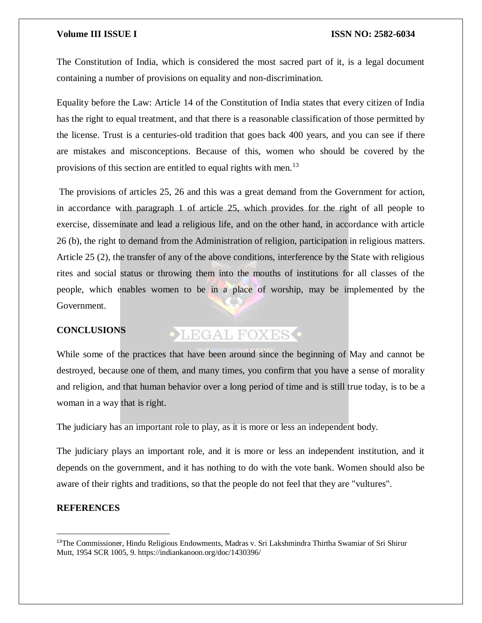The Constitution of India, which is considered the most sacred part of it, is a legal document containing a number of provisions on equality and non-discrimination.

Equality before the Law: Article 14 of the Constitution of India states that every citizen of India has the right to equal treatment, and that there is a reasonable classification of those permitted by the license. Trust is a centuries-old tradition that goes back 400 years, and you can see if there are mistakes and misconceptions. Because of this, women who should be covered by the provisions of this section are entitled to equal rights with men.<sup>13</sup>

The provisions of articles 25, 26 and this was a great demand from the Government for action, in accordance with paragraph 1 of article 25, which provides for the right of all people to exercise, disseminate and lead a religious life, and on the other hand, in accordance with article 26 (b), the right to demand from the Administration of religion, participation in religious matters. Article 25 (2), the transfer of any of the above conditions, interference by the State with religious rites and social status or throwing them into the mouths of institutions for all classes of the people, which enables women to be in a place of worship, may be implemented by the Government.

# **CONCLUSIONS**

# **OLEGAL FOXES**

While some of the practices that have been around since the beginning of May and cannot be destroyed, because one of them, and many times, you confirm that you have a sense of morality and religion, and that human behavior over a long period of time and is still true today, is to be a woman in a way that is right.

The judiciary has an important role to play, as it is more or less an independent body.

The judiciary plays an important role, and it is more or less an independent institution, and it depends on the government, and it has nothing to do with the vote bank. Women should also be aware of their rights and traditions, so that the people do not feel that they are "vultures".

### **REFERENCES**

 $\overline{a}$ 

<sup>13</sup>The Commissioner, Hindu Religious Endowments, Madras v. Sri Lakshmindra Thirtha Swamiar of Sri Shirur Mutt, 1954 SCR 1005, 9. https://indiankanoon.org/doc/1430396/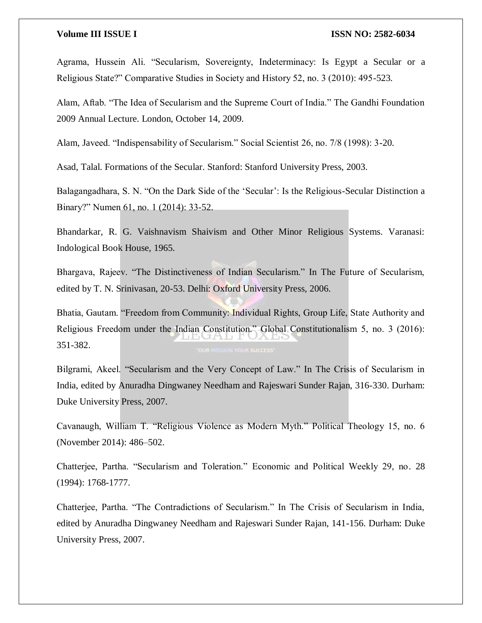Agrama, Hussein Ali. "Secularism, Sovereignty, Indeterminacy: Is Egypt a Secular or a Religious State?" Comparative Studies in Society and History 52, no. 3 (2010): 495-523.

Alam, Aftab. "The Idea of Secularism and the Supreme Court of India." The Gandhi Foundation 2009 Annual Lecture. London, October 14, 2009.

Alam, Javeed. "Indispensability of Secularism." Social Scientist 26, no. 7/8 (1998): 3-20.

Asad, Talal. Formations of the Secular. Stanford: Stanford University Press, 2003.

Balagangadhara, S. N. "On the Dark Side of the 'Secular': Is the Religious-Secular Distinction a Binary?" Numen 61, no. 1 (2014): 33-52.

Bhandarkar, R. G. Vaishnavism Shaivism and Other Minor Religious Systems. Varanasi: Indological Book House, 1965.

Bhargava, Rajeev. "The Distinctiveness of Indian Secularism." In The Future of Secularism, edited by T. N. Srinivasan, 20-53. Delhi: Oxford University Press, 2006.

Bhatia, Gautam. "Freedom from Community: Individual Rights, Group Life, State Authority and Religious Freedom under the Indian Constitution." Global Constitutionalism 5, no. 3 (2016): 351-382.

Bilgrami, Akeel. "Secularism and the Very Concept of Law." In The Crisis of Secularism in India, edited by Anuradha Dingwaney Needham and Rajeswari Sunder Rajan, 316-330. Durham: Duke University Press, 2007.

Cavanaugh, William T. "Religious Violence as Modern Myth." Political Theology 15, no. 6 (November 2014): 486–502.

Chatterjee, Partha. "Secularism and Toleration." Economic and Political Weekly 29, no. 28 (1994): 1768-1777.

Chatterjee, Partha. "The Contradictions of Secularism." In The Crisis of Secularism in India, edited by Anuradha Dingwaney Needham and Rajeswari Sunder Rajan, 141-156. Durham: Duke University Press, 2007.